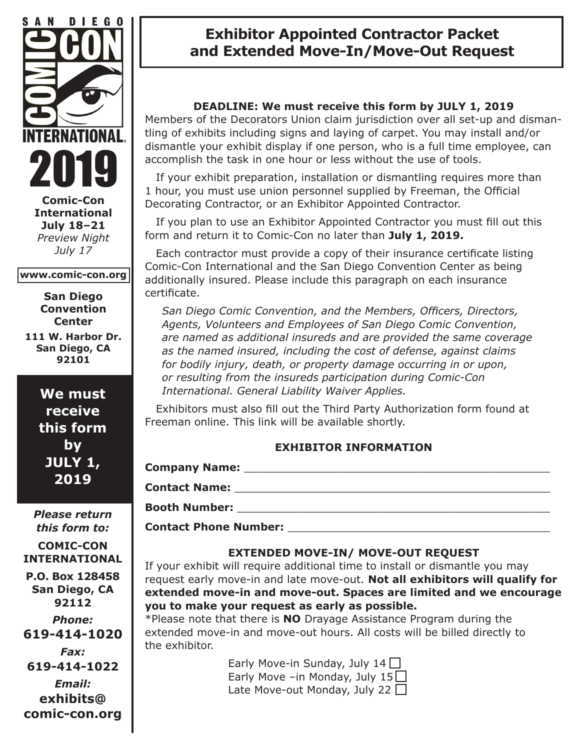

**Comic-Con International July 18–21** *Preview Night July 17*

#### **www.comic-con.org**

**San Diego Convention Center**

**111 W. Harbor Dr. San Diego, CA 92101**

> **We must receive this form by JULY 1, 2019**

*Please return this form to:* **COMIC-CON INTERNATIONAL P.O. Box 128458 San Diego, CA 92112** *Phone:* **619-414-1020** *Fax:* **619-414-1022** *Email:* **exhibits@ comic-con.org**

## **Exhibitor Appointed Contractor Packet and Extended Move-In/Move-Out Request**

## **DEADLINE: We must receive this form by JULY 1, 2019**

Members of the Decorators Union claim jurisdiction over all set-up and dismantling of exhibits including signs and laying of carpet. You may install and/or dismantle your exhibit display if one person, who is a full time employee, can accomplish the task in one hour or less without the use of tools.

 If your exhibit preparation, installation or dismantling requires more than 1 hour, you must use union personnel supplied by Freeman, the Official Decorating Contractor, or an Exhibitor Appointed Contractor.

 If you plan to use an Exhibitor Appointed Contractor you must fill out this form and return it to Comic-Con no later than **July 1, 2019.** 

 Each contractor must provide a copy of their insurance certificate listing Comic-Con International and the San Diego Convention Center as being additionally insured. Please include this paragraph on each insurance certificate.

*San Diego Comic Convention, and the Members, Officers, Directors, Agents, Volunteers and Employees of San Diego Comic Convention, are named as additional insureds and are provided the same coverage as the named insured, including the cost of defense, against claims for bodily injury, death, or property damage occurring in or upon, or resulting from the insureds participation during Comic-Con International. General Liability Waiver Applies.*

 Exhibitors must also fill out the Third Party Authorization form found at Freeman online. This link will be available shortly.

### **EXHIBITOR INFORMATION**

| <b>Company Name:</b>         |  |
|------------------------------|--|
| <b>Contact Name:</b>         |  |
| <b>Booth Number:</b>         |  |
| <b>Contact Phone Number:</b> |  |

### **EXTENDED MOVE-IN/ MOVE-OUT REQUEST**

If your exhibit will require additional time to install or dismantle you may request early move-in and late move-out. **Not all exhibitors will qualify for extended move-in and move-out. Spaces are limited and we encourage you to make your request as early as possible.**

\*Please note that there is **NO** Drayage Assistance Program during the extended move-in and move-out hours. All costs will be billed directly to the exhibitor.

> Early Move-in Sunday, July 14  $\Box$ Early Move –in Monday, July  $15\Box$ Late Move-out Monday, July 22  $\Box$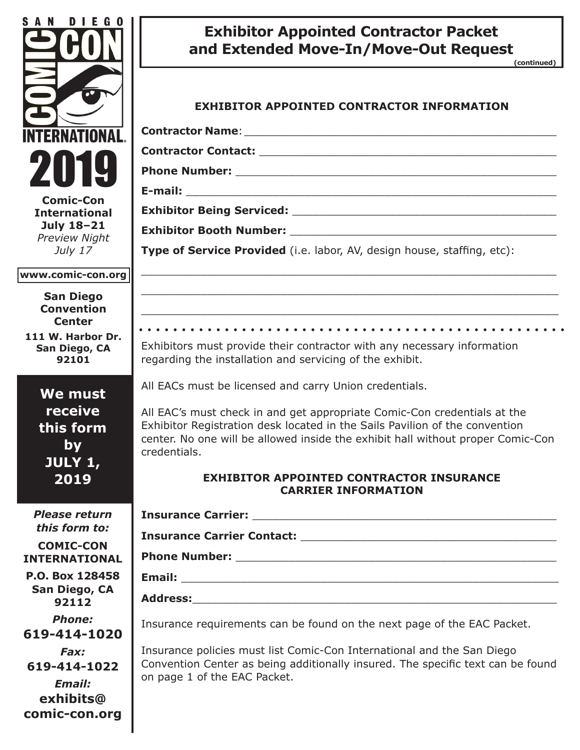| S A N<br>D I E G O                                                                                                         | <b>Exhibitor Appointed Contractor Packet</b><br>and Extended Move-In/Move-Out Request<br>(continued)                                                                                                                                                                                                                 |
|----------------------------------------------------------------------------------------------------------------------------|----------------------------------------------------------------------------------------------------------------------------------------------------------------------------------------------------------------------------------------------------------------------------------------------------------------------|
| NTERNATIONAL                                                                                                               | <b>EXHIBITOR APPOINTED CONTRACTOR INFORMATION</b>                                                                                                                                                                                                                                                                    |
| 2019<br><b>Comic-Con</b><br><b>International</b><br>July 18-21<br><b>Preview Night</b>                                     |                                                                                                                                                                                                                                                                                                                      |
| July 17                                                                                                                    | Type of Service Provided (i.e. labor, AV, design house, staffing, etc):                                                                                                                                                                                                                                              |
| www.comic-con.org<br><b>San Diego</b><br><b>Convention</b><br><b>Center</b><br>111 W. Harbor Dr.<br>San Diego, CA<br>92101 | <u> 1989 - Johann Stoff, amerikansk politiker (d. 1989)</u><br><u> 1989 - Johann Stoff, amerikansk politiker (d. 1989)</u><br>Exhibitors must provide their contractor with any necessary information<br>regarding the installation and servicing of the exhibit.                                                    |
| We must<br>receive<br>this form<br><b>by</b><br>JULY 1,                                                                    | All EACs must be licensed and carry Union credentials.<br>All EAC's must check in and get appropriate Comic-Con credentials at the<br>Exhibitor Registration desk located in the Sails Pavilion of the convention<br>center. No one will be allowed inside the exhibit hall without proper Comic-Con<br>credentials. |
| 2019                                                                                                                       | <b>EXHIBITOR APPOINTED CONTRACTOR INSURANCE</b><br><b>CARRIER INFORMATION</b>                                                                                                                                                                                                                                        |
| <b>Please return</b><br>this form to:<br><b>COMIC-CON</b><br><b>INTERNATIONAL</b>                                          |                                                                                                                                                                                                                                                                                                                      |
| P.O. Box 128458<br>San Diego, CA<br>92112                                                                                  |                                                                                                                                                                                                                                                                                                                      |
| <b>Phone:</b><br>619-414-1020                                                                                              | Insurance requirements can be found on the next page of the EAC Packet.                                                                                                                                                                                                                                              |
| Fax:<br>619-414-1022<br>Email:<br>exhibits@<br>comic-con.org                                                               | Insurance policies must list Comic-Con International and the San Diego<br>Convention Center as being additionally insured. The specific text can be found<br>on page 1 of the EAC Packet.                                                                                                                            |